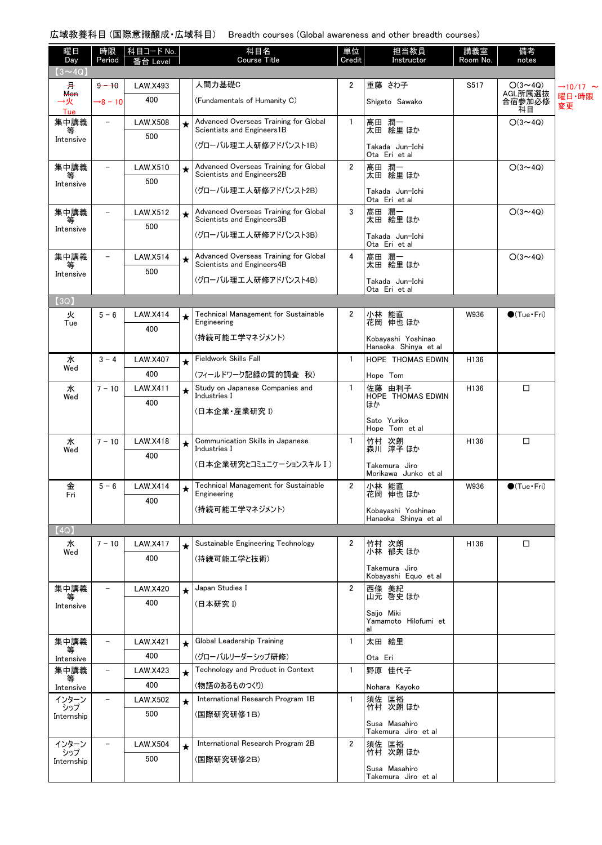## 広域教養科目 (国際意識醸成・広域科目) Breadth courses (Global awareness and other breadth courses)

| 曜日<br>Day               | 時限<br>Period             | │科目コード No. │<br>番台 Level |         | 科目名<br><b>Course Title</b>                                          | 単位<br>Credit   | 担当教員<br>Instructor                         | 講義室<br>Room No.  | 備考<br>notes             |                            |
|-------------------------|--------------------------|--------------------------|---------|---------------------------------------------------------------------|----------------|--------------------------------------------|------------------|-------------------------|----------------------------|
| $(3 \sim 4Q)$           |                          |                          |         |                                                                     |                |                                            |                  |                         |                            |
| 井                       | $9 - 10$                 | <b>LAW.X493</b>          |         | 人間力基礎C                                                              | $\overline{2}$ | 重藤 さわ子                                     | S517             | $O(3 \sim 4Q)$          | $\rightarrow$ 10/17 $\sim$ |
| <b>Mon</b><br>→火<br>Tue | $+8 - 10$                | 400                      |         | (Fundamentals of Humanity C)                                        |                | Shigeto Sawako                             |                  | AGL所属選抜<br>合宿参加必修<br>科目 | 曜日·時限<br>変更                |
| 集中講義<br>等               | $\overline{\phantom{a}}$ | <b>LAW.X508</b><br>500   | $\star$ | Advanced Overseas Training for Global<br>Scientists and Engineers1B | $\mathbf{1}$   | 髙田 潤一<br>太田 絵里 ほか                          |                  | $O(3 \sim 4Q)$          |                            |
| Intensive               |                          |                          |         | (グローバル理工人研修アドバンスト1B)                                                |                | Takada Jun-Ichi<br>Ota Eri et al           |                  |                         |                            |
| 集中講義                    | $\overline{\phantom{0}}$ | LAW.X510<br>500          | $\star$ | Advanced Overseas Training for Global<br>Scientists and Engineers2B | $\overline{2}$ | 髙田 潤一<br>太田 絵里 ほか                          |                  | $O(3 \sim 4Q)$          |                            |
| Intensive               |                          |                          |         | (グローバル理工人研修アドバンスト2B)                                                |                | Takada Jun-Ichi<br>Ota Eri et al           |                  |                         |                            |
| 集中講義<br>等               | $\overline{\phantom{0}}$ | <b>LAW.X512</b><br>500   | $\star$ | Advanced Overseas Training for Global<br>Scientists and Engineers3B | 3              | 髙田 潤一<br>太田 絵里 ほか                          |                  | $O(3 \sim 4Q)$          |                            |
| Intensive               |                          |                          |         | (グローバル理工人研修アドバンスト3B)                                                |                | Takada Jun-Ichi<br>Ota Eri et al           |                  |                         |                            |
| 集中講義                    | -                        | <b>LAW.X514</b>          | $\star$ | Advanced Overseas Training for Global<br>Scientists and Engineers4B | 4              | 髙田 潤一<br>太田 絵里 ほか                          |                  | $O(3 \sim 4Q)$          |                            |
| Intensive               |                          | 500                      |         | (グローバル理工人研修アドバンスト4B)                                                |                | Takada Jun-Ichi<br>Ota Eri et al           |                  |                         |                            |
| (3Q)                    |                          |                          |         |                                                                     |                |                                            |                  |                         |                            |
| 火<br>Tue                | $5 - 6$                  | <b>LAW.X414</b><br>400   | ★       | Technical Management for Sustainable<br>Engineering                 | 2              | 小林 能直<br>花岡 伸也 ほか                          | W936             | $\bigcirc$ (Tue · Fri)  |                            |
|                         |                          |                          |         | (持続可能工学マネジメント)                                                      |                | Kobayashi Yoshinao<br>Hanaoka Shinya et al |                  |                         |                            |
| 水                       | $3 - 4$                  | LAW.X407                 | $\star$ | Fieldwork Skills Fall                                               | $\mathbf{1}$   | <b>HOPE THOMAS EDWIN</b>                   | H <sub>136</sub> |                         |                            |
| Wed                     |                          | 400                      |         | (フィールドワーク記録の質的調査 秋)                                                 |                | Hope Tom                                   |                  |                         |                            |
| 水<br>Wed                | $7 - 10$                 | LAW.X411                 | $\star$ | Study on Japanese Companies and<br>Industries I                     | 1              | 佐藤 由利子<br>HOPE THOMAS EDWIN                | H136             | $\Box$                  |                            |
|                         |                          | 400                      |         | (日本企業・産業研究 1)                                                       |                | ほか                                         |                  |                         |                            |
|                         |                          |                          |         |                                                                     |                | Sato Yuriko<br>Hope Tom et al              |                  |                         |                            |
| 水                       | $7 - 10$                 | <b>LAW.X418</b>          | $\star$ | Communication Skills in Japanese                                    | $\mathbf{1}$   | 竹村 次朗                                      | H136             | $\Box$                  |                            |
| Wed                     |                          | 400                      |         | Industries I                                                        |                | 森川 淳子 ほか                                   |                  |                         |                            |
|                         |                          |                          |         | (日本企業研究とコミュニケーションスキル I)                                             |                | Takemura Jiro<br>Morikawa Junko et al      |                  |                         |                            |
| 金<br>Fri                | $5 - 6$                  | <b>LAW.X414</b>          |         | Technical Management for Sustainable<br>Engineering                 | $\overline{2}$ | 小林 能直<br>花岡 伸也 ほか                          | W936             | $\bigcirc$ (Tue · Fri)  |                            |
|                         |                          | 400                      |         | (持続可能工学マネジメント)                                                      |                | Kobayashi Yoshinao                         |                  |                         |                            |
|                         |                          |                          |         |                                                                     |                | Hanaoka Shinya et al                       |                  |                         |                            |
| (4Q)                    | $7 - 10$                 |                          |         | Sustainable Engineering Technology                                  | 2              | 竹村 次朗                                      | H <sub>136</sub> | $\Box$                  |                            |
| 水<br>Wed                |                          | <b>LAW.X417</b><br>400   | $\star$ | (持続可能工学と技術)                                                         |                | 小林 郁夫 ほか                                   |                  |                         |                            |
|                         |                          |                          |         |                                                                     |                | Takemura Jiro<br>Kobayashi Equo et al      |                  |                         |                            |
| 集中講義                    |                          | <b>LAW.X420</b>          | $\star$ | Japan Studies I                                                     | 2              | 西條 美紀<br>山元 啓史 ほか                          |                  |                         |                            |
| Intensive               |                          | 400                      |         | (日本研究 I)                                                            |                | Saijo Miki<br>Yamamoto Hilofumi et         |                  |                         |                            |
|                         |                          |                          |         |                                                                     |                | al                                         |                  |                         |                            |
| 集中講義<br>等               | $\overline{\phantom{0}}$ | <b>LAW.X421</b>          | $\star$ | Global Leadership Training                                          | 1              | 太田 絵里                                      |                  |                         |                            |
| Intensive               |                          | 400                      |         | (グローバルリーダーシップ研修)                                                    |                | Ota Eri                                    |                  |                         |                            |
| 集中講義<br>等               | $\overline{\phantom{0}}$ | LAW.X423                 | $\star$ | Technology and Product in Context                                   | $\mathbf{1}$   | 野原 佳代子                                     |                  |                         |                            |
| Intensive<br>インターン      | $\overline{\phantom{0}}$ | 400                      |         | (物語のあるものつくり)<br>International Research Program 1B                   | 1              | Nohara Kayoko<br>須佐 匡裕                     |                  |                         |                            |
| シップ                     |                          | <b>LAW.X502</b><br>500   | $\star$ | (国際研究研修1B)                                                          |                | 竹村 次朗 ほか                                   |                  |                         |                            |
| Internship              |                          |                          |         |                                                                     |                | Susa Masahiro<br>Takemura Jiro et al       |                  |                         |                            |
| インターン                   |                          | <b>LAW.X504</b>          | $\star$ | International Research Program 2B                                   | 2              | 須佐 匡裕<br>竹村 次朗 ほか                          |                  |                         |                            |
| シップ<br>Internship       |                          | 500                      |         | (国際研究研修2B)                                                          |                | Susa Masahiro                              |                  |                         |                            |
|                         |                          |                          |         |                                                                     |                | Takemura Jiro et al                        |                  |                         |                            |